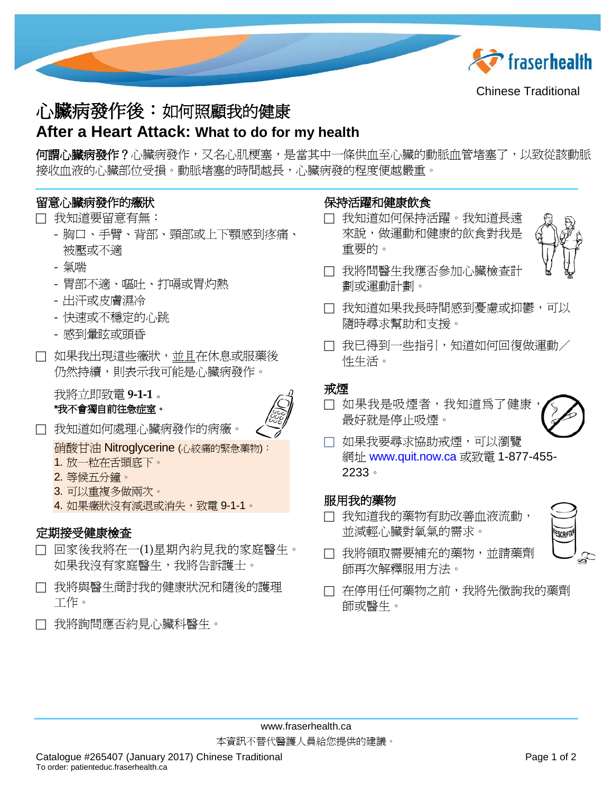

Chinese Traditional

# 心臟病發作後:如何照顧我的健康

# **After a Heart Attack: What to do for my health**

何**謂心臟病發作?**心臟病發作,又名心肌梗塞,是當其中一條供血至心臟的動脈血管堵塞了,以致從該動脈 接收血液的心臟部位受損。動脈堵塞的時間越長,心臟病發的程度便越嚴重。

## 留意心臟病發作的癥狀

#### 我知道要留意有無:

- 胸口、手臂、背部、頸部或上下顎感到疼痛、 被壓或不適
- 氣喘
- 胃部不適、嘔吐、打嗝或胃灼熱
- 出汗或皮膚濕冷
- 快速或不穩定的心跳
- 感到暈眩或頭昏
- 如果我出現這些癥狀,並且在休息或服藥後 **仍然持續,則表示我可能是心臟病發作。**

我將立即致電 **9-1-1** 。 **\***我不會獨自前往急症室。



我知道如何處理心臟病發作的病癥。

硝酸甘油 Nitroglycerine (心絞痛的緊急藥物):

- 1. 放一粒在舌頭底下。
- 2. 等候五分鐘。
- 3. 可以重複多做兩次。
- 4. 如果癥狀沒有減退或消失,致電 9-1-1。

### 定期接受健康檢查

- 回家後我將在一(1)星期內約見我的家庭醫生。 如果我沒有家庭醫生,我將告訴護士。
- 我將與醫生商討我的健康狀況和隨後的護理 工作。
- 我將詢問應否約見心臟科醫生。

### 保持活躍和健康飲食

 我知道如何保持活躍。我知道長遠 來說,做運動和健康的飲食對我是 重要的。



- 我將問醫生我應否參加心臟檢查計 劃或運動計劃。
- □ 我知道如果我長時間感到憂慮或抑鬱,可以 隨時尋求幫助和支援。
- □ 我已得到一些指引,知道如何回復做運動/ 性生活。

#### 戒煙

□ 如果我是吸煙者,我知道為了健康。 最好就是停止吸煙。



 如果我要尋求協助戒煙,可以瀏覽 網址 [www.quit.now.ca](http://www.quit.now.ca/) 或致電 1-877-455- 2233。

#### 服用我的藥物

□ 我知道我的藥物有助改善血液流動, 並減輕心臟對氧氣的需求。



- □ 我將領取需要補充的藥物,並請藥劑 師再次解釋服用方法。
- 在停用任何藥物之前,我將先徵詢我的藥劑 師或醫生。